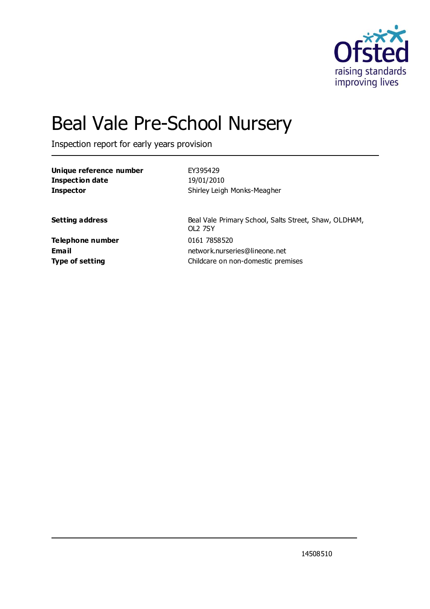

# Beal Vale Pre-School Nursery

Inspection report for early years provision

| Unique reference number | EY395429                                                                |
|-------------------------|-------------------------------------------------------------------------|
| <b>Inspection date</b>  | 19/01/2010                                                              |
| <b>Inspector</b>        | Shirley Leigh Monks-Meagher                                             |
| <b>Setting address</b>  | Beal Vale Primary School, Salts Street, Shaw, OLDHAM,<br><b>OL2 7SY</b> |
| Telephone number        | 0161 7858520                                                            |
| <b>Email</b>            | network.nurseries@lineone.net                                           |
| <b>Type of setting</b>  | Childcare on non-domestic premises                                      |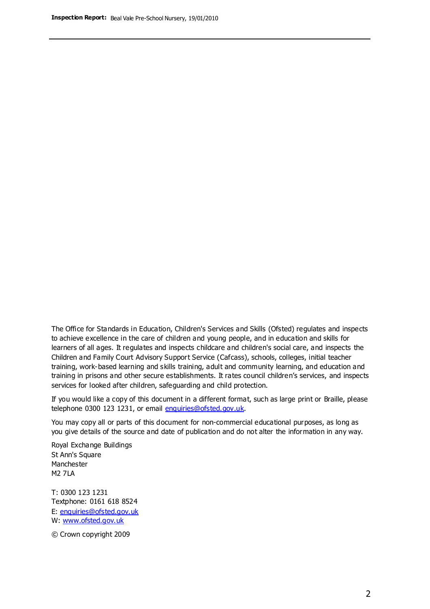The Office for Standards in Education, Children's Services and Skills (Ofsted) regulates and inspects to achieve excellence in the care of children and young people, and in education and skills for learners of all ages. It regulates and inspects childcare and children's social care, and inspects the Children and Family Court Advisory Support Service (Cafcass), schools, colleges, initial teacher training, work-based learning and skills training, adult and community learning, and education and training in prisons and other secure establishments. It rates council children's services, and inspects services for looked after children, safeguarding and child protection.

If you would like a copy of this document in a different format, such as large print or Braille, please telephone 0300 123 1231, or email enquiries@ofsted.gov.uk.

You may copy all or parts of this document for non-commercial educational purposes, as long as you give details of the source and date of publication and do not alter the information in any way.

Royal Exchange Buildings St Ann's Square Manchester M2 7LA

T: 0300 123 1231 Textphone: 0161 618 8524 E: enquiries@ofsted.gov.uk W: [www.ofsted.gov.uk](http://www.ofsted.gov.uk/)

© Crown copyright 2009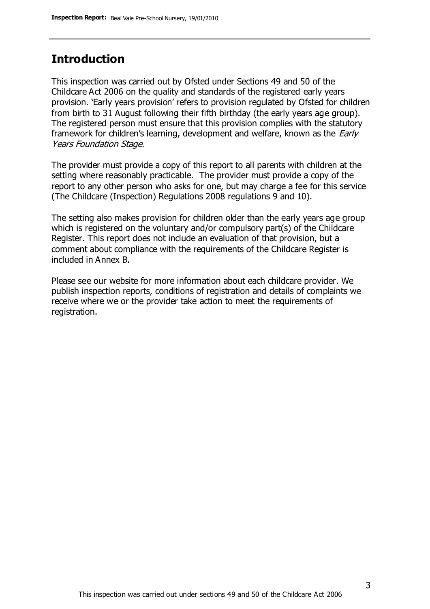## **Introduction**

This inspection was carried out by Ofsted under Sections 49 and 50 of the Childcare Act 2006 on the quality and standards of the registered early years provision. 'Early years provision' refers to provision regulated by Ofsted for children from birth to 31 August following their fifth birthday (the early years age group). The registered person must ensure that this provision complies with the statutory framework for children's learning, development and welfare, known as the *Early* Years Foundation Stage.

The provider must provide a copy of this report to all parents with children at the setting where reasonably practicable. The provider must provide a copy of the report to any other person who asks for one, but may charge a fee for this service (The Childcare (Inspection) Regulations 2008 regulations 9 and 10).

The setting also makes provision for children older than the early years age group which is registered on the voluntary and/or compulsory part(s) of the Childcare Register. This report does not include an evaluation of that provision, but a comment about compliance with the requirements of the Childcare Register is included in Annex B.

Please see our website for more information about each childcare provider. We publish inspection reports, conditions of registration and details of complaints we receive where we or the provider take action to meet the requirements of registration.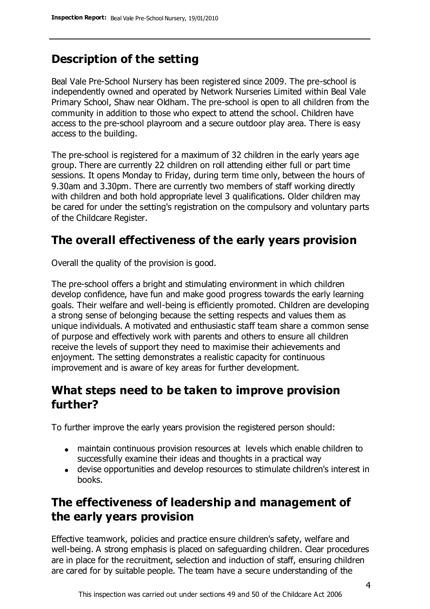# **Description of the setting**

Beal Vale Pre-School Nursery has been registered since 2009. The pre-school is independently owned and operated by Network Nurseries Limited within Beal Vale Primary School, Shaw near Oldham. The pre-school is open to all children from the community in addition to those who expect to attend the school. Children have access to the pre-school playroom and a secure outdoor play area. There is easy access to the building.

The pre-school is registered for a maximum of 32 children in the early years age group. There are currently 22 children on roll attending either full or part time sessions. It opens Monday to Friday, during term time only, between the hours of 9.30am and 3.30pm. There are currently two members of staff working directly with children and both hold appropriate level 3 qualifications. Older children may be cared for under the setting's registration on the compulsory and voluntary parts of the Childcare Register.

## **The overall effectiveness of the early years provision**

Overall the quality of the provision is good.

The pre-school offers a bright and stimulating environment in which children develop confidence, have fun and make good progress towards the early learning goals. Their welfare and well-being is efficiently promoted. Children are developing a strong sense of belonging because the setting respects and values them as unique individuals. A motivated and enthusiastic staff team share a common sense of purpose and effectively work with parents and others to ensure all children receive the levels of support they need to maximise their achievements and enjoyment. The setting demonstrates a realistic capacity for continuous improvement and is aware of key areas for further development.

## **What steps need to be taken to improve provision further?**

To further improve the early years provision the registered person should:

- maintain continuous provision resources at levels which enable children to successfully examine their ideas and thoughts in a practical way
- devise opportunities and develop resources to stimulate children's interest in books.

# **The effectiveness of leadership and management of the early years provision**

Effective teamwork, policies and practice ensure children's safety, welfare and well-being. A strong emphasis is placed on safeguarding children. Clear procedures are in place for the recruitment, selection and induction of staff, ensuring children are cared for by suitable people. The team have a secure understanding of the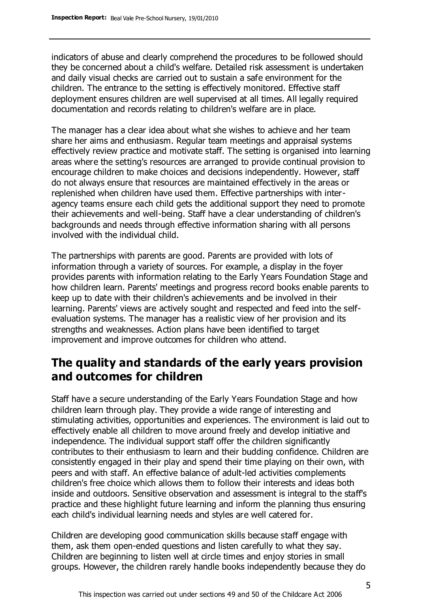indicators of abuse and clearly comprehend the procedures to be followed should they be concerned about a child's welfare. Detailed risk assessment is undertaken and daily visual checks are carried out to sustain a safe environment for the children. The entrance to the setting is effectively monitored. Effective staff deployment ensures children are well supervised at all times. All legally required documentation and records relating to children's welfare are in place.

The manager has a clear idea about what she wishes to achieve and her team share her aims and enthusiasm. Regular team meetings and appraisal systems effectively review practice and motivate staff. The setting is organised into learning areas where the setting's resources are arranged to provide continual provision to encourage children to make choices and decisions independently. However, staff do not always ensure that resources are maintained effectively in the areas or replenished when children have used them. Effective partnerships with interagency teams ensure each child gets the additional support they need to promote their achievements and well-being. Staff have a clear understanding of children's backgrounds and needs through effective information sharing with all persons involved with the individual child.

The partnerships with parents are good. Parents are provided with lots of information through a variety of sources. For example, a display in the foyer provides parents with information relating to the Early Years Foundation Stage and how children learn. Parents' meetings and progress record books enable parents to keep up to date with their children's achievements and be involved in their learning. Parents' views are actively sought and respected and feed into the selfevaluation systems. The manager has a realistic view of her provision and its strengths and weaknesses. Action plans have been identified to target improvement and improve outcomes for children who attend.

## **The quality and standards of the early years provision and outcomes for children**

Staff have a secure understanding of the Early Years Foundation Stage and how children learn through play. They provide a wide range of interesting and stimulating activities, opportunities and experiences. The environment is laid out to effectively enable all children to move around freely and develop initiative and independence. The individual support staff offer the children significantly contributes to their enthusiasm to learn and their budding confidence. Children are consistently engaged in their play and spend their time playing on their own, with peers and with staff. An effective balance of adult-led activities complements children's free choice which allows them to follow their interests and ideas both inside and outdoors. Sensitive observation and assessment is integral to the staff's practice and these highlight future learning and inform the planning thus ensuring each child's individual learning needs and styles are well catered for.

Children are developing good communication skills because staff engage with them, ask them open-ended questions and listen carefully to what they say. Children are beginning to listen well at circle times and enjoy stories in small groups. However, the children rarely handle books independently because they do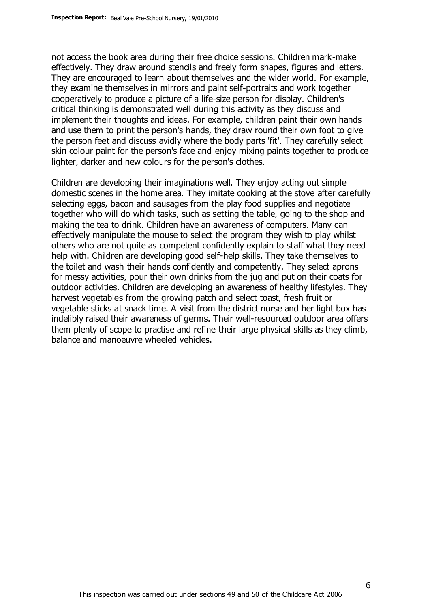not access the book area during their free choice sessions. Children mark-make effectively. They draw around stencils and freely form shapes, figures and letters. They are encouraged to learn about themselves and the wider world. For example, they examine themselves in mirrors and paint self-portraits and work together cooperatively to produce a picture of a life-size person for display. Children's critical thinking is demonstrated well during this activity as they discuss and implement their thoughts and ideas. For example, children paint their own hands and use them to print the person's hands, they draw round their own foot to give the person feet and discuss avidly where the body parts 'fit'. They carefully select skin colour paint for the person's face and enjoy mixing paints together to produce lighter, darker and new colours for the person's clothes.

Children are developing their imaginations well. They enjoy acting out simple domestic scenes in the home area. They imitate cooking at the stove after carefully selecting eggs, bacon and sausages from the play food supplies and negotiate together who will do which tasks, such as setting the table, going to the shop and making the tea to drink. Children have an awareness of computers. Many can effectively manipulate the mouse to select the program they wish to play whilst others who are not quite as competent confidently explain to staff what they need help with. Children are developing good self-help skills. They take themselves to the toilet and wash their hands confidently and competently. They select aprons for messy activities, pour their own drinks from the jug and put on their coats for outdoor activities. Children are developing an awareness of healthy lifestyles. They harvest vegetables from the growing patch and select toast, fresh fruit or vegetable sticks at snack time. A visit from the district nurse and her light box has indelibly raised their awareness of germs. Their well-resourced outdoor area offers them plenty of scope to practise and refine their large physical skills as they climb, balance and manoeuvre wheeled vehicles.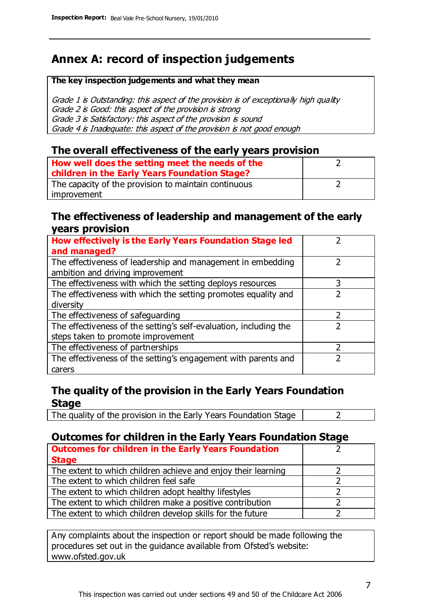# **Annex A: record of inspection judgements**

#### **The key inspection judgements and what they mean**

Grade 1 is Outstanding: this aspect of the provision is of exceptionally high quality Grade 2 is Good: this aspect of the provision is strong Grade 3 is Satisfactory: this aspect of the provision is sound Grade 4 is Inadequate: this aspect of the provision is not good enough

#### **The overall effectiveness of the early years provision**

| How well does the setting meet the needs of the<br>children in the Early Years Foundation Stage? |  |
|--------------------------------------------------------------------------------------------------|--|
| The capacity of the provision to maintain continuous                                             |  |
| improvement                                                                                      |  |

#### **The effectiveness of leadership and management of the early years provision**

| How effectively is the Early Years Foundation Stage led                                         |   |
|-------------------------------------------------------------------------------------------------|---|
| and managed?                                                                                    |   |
| The effectiveness of leadership and management in embedding<br>ambition and driving improvement |   |
|                                                                                                 |   |
| The effectiveness with which the setting deploys resources                                      | 3 |
| The effectiveness with which the setting promotes equality and                                  |   |
| diversity                                                                                       |   |
| The effectiveness of safeguarding                                                               | 2 |
| The effectiveness of the setting's self-evaluation, including the                               |   |
| steps taken to promote improvement                                                              |   |
| The effectiveness of partnerships                                                               |   |
| The effectiveness of the setting's engagement with parents and                                  |   |
| carers                                                                                          |   |

#### **The quality of the provision in the Early Years Foundation Stage**

The quality of the provision in the Early Years Foundation Stage  $\vert$  2

### **Outcomes for children in the Early Years Foundation Stage**

| <b>Outcomes for children in the Early Years Foundation</b>    |  |
|---------------------------------------------------------------|--|
| <b>Stage</b>                                                  |  |
| The extent to which children achieve and enjoy their learning |  |
| The extent to which children feel safe                        |  |
| The extent to which children adopt healthy lifestyles         |  |
| The extent to which children make a positive contribution     |  |
| The extent to which children develop skills for the future    |  |

Any complaints about the inspection or report should be made following the procedures set out in the guidance available from Ofsted's website: www.ofsted.gov.uk